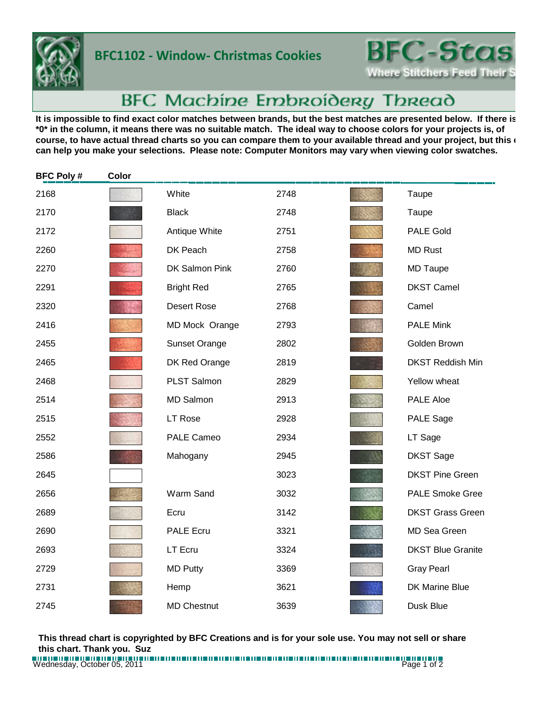

## **BFC1102 - Window- Christmas Cookies**



## BFC Machine Embroidery Thread

It is impossible to find exact color matches between brands, but the best matches are presented below. If there is **\*0\* in the column, it means there was no suitable match. The ideal way to choose colors for your projects is, of**  course, to have actual thread charts so you can compare them to your available thread and your project, but this **c can help you make your selections. Please note: Computer Monitors may vary when viewing color swatches.**

| <b>BFC Poly#</b> | Color |                    |      |                          |
|------------------|-------|--------------------|------|--------------------------|
| 2168             |       | White              | 2748 | Taupe                    |
| 2170             |       | <b>Black</b>       | 2748 | Taupe                    |
| 2172             |       | Antique White      | 2751 | <b>PALE Gold</b>         |
| 2260             |       | DK Peach           | 2758 | <b>MD Rust</b>           |
| 2270             |       | DK Salmon Pink     | 2760 | <b>MD Taupe</b>          |
| 2291             |       | <b>Bright Red</b>  | 2765 | <b>DKST Camel</b>        |
| 2320             |       | Desert Rose        | 2768 | Camel                    |
| 2416             |       | MD Mock Orange     | 2793 | <b>PALE Mink</b>         |
| 2455             |       | Sunset Orange      | 2802 | Golden Brown             |
| 2465             |       | DK Red Orange      | 2819 | <b>DKST Reddish Min</b>  |
| 2468             |       | PLST Salmon        | 2829 | Yellow wheat             |
| 2514             |       | <b>MD Salmon</b>   | 2913 | PALE Aloe                |
| 2515             |       | LT Rose            | 2928 | PALE Sage                |
| 2552             |       | <b>PALE Cameo</b>  | 2934 | LT Sage                  |
| 2586             |       | Mahogany           | 2945 | <b>DKST Sage</b>         |
| 2645             |       |                    | 3023 | <b>DKST Pine Green</b>   |
| 2656             |       | Warm Sand          | 3032 | <b>PALE Smoke Gree</b>   |
| 2689             |       | Ecru               | 3142 | <b>DKST Grass Green</b>  |
| 2690             |       | <b>PALE Ecru</b>   | 3321 | MD Sea Green             |
| 2693             |       | LT Ecru            | 3324 | <b>DKST Blue Granite</b> |
| 2729             |       | <b>MD Putty</b>    | 3369 | <b>Gray Pearl</b>        |
| 2731             |       | Hemp               | 3621 | DK Marine Blue           |
| 2745             |       | <b>MD Chestnut</b> | 3639 | Dusk Blue                |

**This thread chart is copyrighted by BFC Creations and is for your sole use. You may not sell or share this chart. Thank you. Suz**